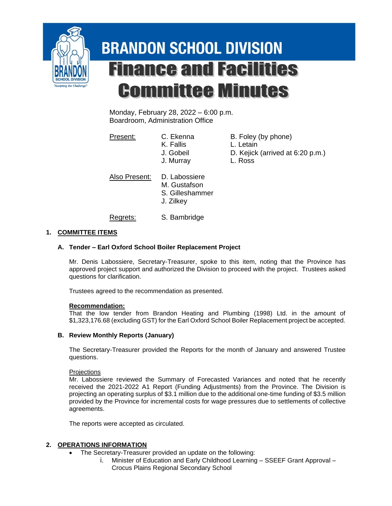

# **BRANDON SCHOOL DIVISION Finance and Facilities Committee Minutes**

Monday, February 28, 2022 – 6:00 p.m. Boardroom, Administration Office

Present: C. Ekenna B. Foley (by phone)

- K. Fallis L. Letain J. Gobeil D. Kejick (arrived at 6:20 p.m.)
- J. Murray L. Ross

Also Present: D. Labossiere

- M. Gustafson S. Gilleshammer
- J. Zilkey

Regrets: S. Bambridge

## **1. COMMITTEE ITEMS**

## **A. Tender – Earl Oxford School Boiler Replacement Project**

Mr. Denis Labossiere, Secretary-Treasurer, spoke to this item, noting that the Province has approved project support and authorized the Division to proceed with the project. Trustees asked questions for clarification.

Trustees agreed to the recommendation as presented.

## **Recommendation:**

That the low tender from Brandon Heating and Plumbing (1998) Ltd. in the amount of \$1,323,176.68 (excluding GST) for the Earl Oxford School Boiler Replacement project be accepted.

## **B. Review Monthly Reports (January)**

The Secretary-Treasurer provided the Reports for the month of January and answered Trustee questions.

**Projections** 

Mr. Labossiere reviewed the Summary of Forecasted Variances and noted that he recently received the 2021-2022 A1 Report (Funding Adjustments) from the Province. The Division is projecting an operating surplus of \$3.1 million due to the additional one-time funding of \$3.5 million provided by the Province for incremental costs for wage pressures due to settlements of collective agreements.

The reports were accepted as circulated.

## **2. OPERATIONS INFORMATION**

- The Secretary-Treasurer provided an update on the following:
	- i. Minister of Education and Early Childhood Learning SSEEF Grant Approval Crocus Plains Regional Secondary School